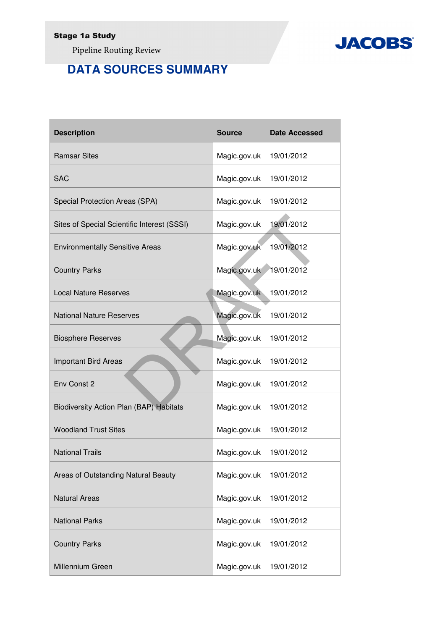Pipeline Routing Review

## **DATA SOURCES SUMMARY**

| <b>Description</b>                          | <b>Source</b> | <b>Date Accessed</b> |
|---------------------------------------------|---------------|----------------------|
| <b>Ramsar Sites</b>                         | Magic.gov.uk  | 19/01/2012           |
| <b>SAC</b>                                  | Magic.gov.uk  | 19/01/2012           |
| Special Protection Areas (SPA)              | Magic.gov.uk  | 19/01/2012           |
| Sites of Special Scientific Interest (SSSI) | Magic.gov.uk  | 19/01/2012           |
| <b>Environmentally Sensitive Areas</b>      | Magic.gov.uk  | 19/01/2012           |
| <b>Country Parks</b>                        | Magic.gov.uk  | 19/01/2012           |
| <b>Local Nature Reserves</b>                | Magic.gov.uk  | 19/01/2012           |
| <b>National Nature Reserves</b>             | Magic.gov.uk  | 19/01/2012           |
| <b>Biosphere Reserves</b>                   | Magic.gov.uk  | 19/01/2012           |
| <b>Important Bird Areas</b>                 | Magic.gov.uk  | 19/01/2012           |
| Env Const 2                                 | Magic.gov.uk  | 19/01/2012           |
| Biodiversity Action Plan (BAP) Habitats     | Magic.gov.uk  | 19/01/2012           |
| <b>Woodland Trust Sites</b>                 | Magic.gov.uk  | 19/01/2012           |
| <b>National Trails</b>                      | Magic.gov.uk  | 19/01/2012           |
| Areas of Outstanding Natural Beauty         | Magic.gov.uk  | 19/01/2012           |
| <b>Natural Areas</b>                        | Magic.gov.uk  | 19/01/2012           |
| <b>National Parks</b>                       | Magic.gov.uk  | 19/01/2012           |
| <b>Country Parks</b>                        | Magic.gov.uk  | 19/01/2012           |
| Millennium Green                            | Magic.gov.uk  | 19/01/2012           |

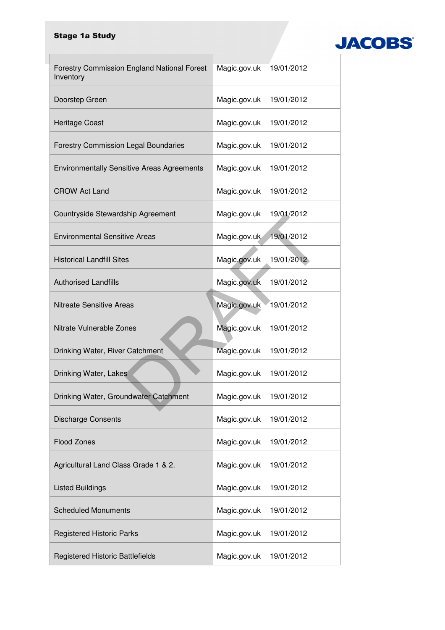## Stage 1a Study



| <b>Forestry Commission England National Forest</b> | Magic.gov.uk | 19/01/2012 |
|----------------------------------------------------|--------------|------------|
| Inventory<br>Doorstep Green                        |              | 19/01/2012 |
|                                                    | Magic.gov.uk |            |
| Heritage Coast                                     | Magic.gov.uk | 19/01/2012 |
| <b>Forestry Commission Legal Boundaries</b>        | Magic.gov.uk | 19/01/2012 |
| <b>Environmentally Sensitive Areas Agreements</b>  | Magic.gov.uk | 19/01/2012 |
| <b>CROW Act Land</b>                               | Magic.gov.uk | 19/01/2012 |
| Countryside Stewardship Agreement                  | Magic.gov.uk | 19/01/2012 |
| <b>Environmental Sensitive Areas</b>               | Magic.gov.uk | 19/01/2012 |
| <b>Historical Landfill Sites</b>                   | Magic.gov.uk | 19/01/2012 |
| <b>Authorised Landfills</b>                        | Magic.gov.uk | 19/01/2012 |
| <b>Nitreate Sensitive Areas</b>                    | Magic.gov.uk | 19/01/2012 |
| Nitrate Vulnerable Zones                           | Magic.gov.uk | 19/01/2012 |
| Drinking Water, River Catchment                    | Magic.gov.uk | 19/01/2012 |
| Drinking Water, Lakes                              | Magic.gov.uk | 19/01/2012 |
| Drinking Water, Groundwater Catchment              | Magic.gov.uk | 19/01/2012 |
| <b>Discharge Consents</b>                          | Magic.gov.uk | 19/01/2012 |
| <b>Flood Zones</b>                                 | Magic.gov.uk | 19/01/2012 |
| Agricultural Land Class Grade 1 & 2.               | Magic.gov.uk | 19/01/2012 |
| <b>Listed Buildings</b>                            | Magic.gov.uk | 19/01/2012 |
| <b>Scheduled Monuments</b>                         | Magic.gov.uk | 19/01/2012 |
| <b>Registered Historic Parks</b>                   | Magic.gov.uk | 19/01/2012 |
| <b>Registered Historic Battlefields</b>            | Magic.gov.uk | 19/01/2012 |